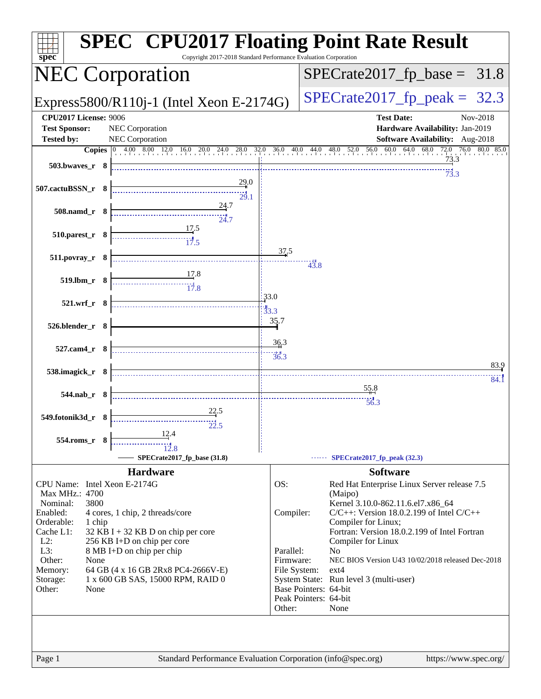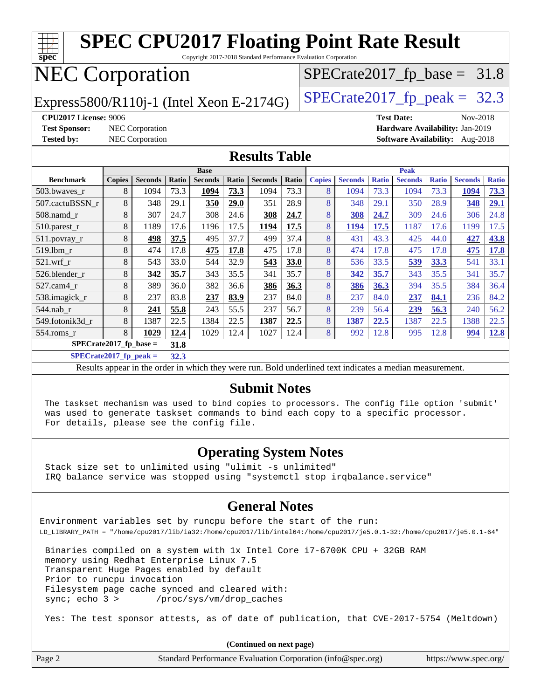| spec                                                     |                                                    |                 |       | <b>SPEC CPU2017 Floating Point Rate Result</b><br>Copyright 2017-2018 Standard Performance Evaluation Corporation |       |                |       |               |                |              |                   |              |                                 |              |
|----------------------------------------------------------|----------------------------------------------------|-----------------|-------|-------------------------------------------------------------------------------------------------------------------|-------|----------------|-------|---------------|----------------|--------------|-------------------|--------------|---------------------------------|--------------|
| <b>NEC Corporation</b><br>$SPECrate2017_fp\_base = 31.8$ |                                                    |                 |       |                                                                                                                   |       |                |       |               |                |              |                   |              |                                 |              |
| Express5800/R110j-1 (Intel Xeon E-2174G)                 |                                                    |                 |       |                                                                                                                   |       |                |       |               |                |              |                   |              | $SPECTate2017$ _fp_peak = 32.3  |              |
| <b>CPU2017 License: 9006</b>                             |                                                    |                 |       |                                                                                                                   |       |                |       |               |                |              | <b>Test Date:</b> |              | Nov-2018                        |              |
| <b>Test Sponsor:</b>                                     | NEC Corporation<br>Hardware Availability: Jan-2019 |                 |       |                                                                                                                   |       |                |       |               |                |              |                   |              |                                 |              |
| <b>Tested by:</b>                                        |                                                    | NEC Corporation |       |                                                                                                                   |       |                |       |               |                |              |                   |              | Software Availability: Aug-2018 |              |
| <b>Results Table</b>                                     |                                                    |                 |       |                                                                                                                   |       |                |       |               |                |              |                   |              |                                 |              |
|                                                          | <b>Base</b>                                        |                 |       | <b>Peak</b>                                                                                                       |       |                |       |               |                |              |                   |              |                                 |              |
| <b>Benchmark</b>                                         | <b>Copies</b>                                      | <b>Seconds</b>  | Ratio | <b>Seconds</b>                                                                                                    | Ratio | <b>Seconds</b> | Ratio | <b>Copies</b> | <b>Seconds</b> | <b>Ratio</b> | <b>Seconds</b>    | <b>Ratio</b> | <b>Seconds</b>                  | <b>Ratio</b> |
| 503.bwaves_r                                             | 8                                                  | 1094            | 73.3  | 1094                                                                                                              | 73.3  | 1094           | 73.3  | 8             | 1094           | 73.3         | 1094              | 73.3         | 1094                            | 73.3         |
| 507.cactuBSSN r                                          | 8                                                  | 348             | 29.1  | 350                                                                                                               | 29.0  | 351            | 28.9  | 8             | 348            | 29.1         | 350               | 28.9         | 348                             | 29.1         |
| 508.namd_r                                               | 8                                                  | 307             | 24.7  | 308                                                                                                               | 24.6  | 308            | 24.7  | 8             | 308            | 24.7         | 309               | 24.6         | 306                             | 24.8         |
| 510.parest_r                                             | 8                                                  | 1189            | 17.6  | 1196                                                                                                              | 17.5  | 1194           | 17.5  | 8             | 1194           | 17.5         | 1187              | 17.6         | 1199                            | 17.5         |
| 511.povray_r                                             | 8                                                  | 498             | 37.5  | 495                                                                                                               | 37.7  | 499            | 37.4  | 8             | 431            | 43.3         | 425               | 44.0         | 427                             | 43.8         |
| 519.1bm r                                                | 8                                                  | 474             | 17.8  | 475                                                                                                               | 17.8  | 475            | 17.8  | 8             | 474            | 17.8         | 475               | 17.8         | 475                             | 17.8         |
| 521.wrf r                                                | 8                                                  | 543             | 33.0  | 544                                                                                                               | 32.9  | 543            | 33.0  | 8             | 536            | 33.5         | 539               | 33.3         | 541                             | 33.1         |
| 526.blender r                                            | 8                                                  | 342             | 35.7  | 343                                                                                                               | 35.5  | 341            | 35.7  | 8             | 342            | 35.7         | 343               | 35.5         | 341                             | 35.7         |
| 527.cam4_r                                               | 8                                                  | 389             | 36.0  | 382                                                                                                               | 36.6  | 386            | 36.3  | 8             | 386            | 36.3         | 394               | 35.5         | 384                             | 36.4         |
| 538.imagick_r                                            | 8                                                  | 237             | 83.8  | 237                                                                                                               | 83.9  | 237            | 84.0  | 8             | 237            | 84.0         | 237               | 84.1         | 236                             | 84.2         |
| 544.nab r                                                | 8                                                  | 241             | 55.8  | 243                                                                                                               | 55.5  | 237            | 56.7  | 8             | 239            | 56.4         | 239               | 56.3         | 240                             | 56.2         |
| 549.fotonik3d_r                                          | 8                                                  | 1387            | 22.5  | 1384                                                                                                              | 22.5  | 1387           | 22.5  | 8             | 1387           | 22.5         | 1387              | 22.5         | 1388                            | 22.5         |
| 554.roms_r                                               | 8                                                  | 1029            | 12.4  | 1029                                                                                                              | 12.4  | 1027           | 12.4  | 8             | 992            | 12.8         | 995               | 12.8         | 994                             | 12.8         |
| $SPECrate2017_fp\_base =$                                |                                                    |                 | 31.8  |                                                                                                                   |       |                |       |               |                |              |                   |              |                                 |              |
| $SPECrate2017_fp_peak =$                                 |                                                    |                 | 32.3  |                                                                                                                   |       |                |       |               |                |              |                   |              |                                 |              |

Results appear in the [order in which they were run](http://www.spec.org/auto/cpu2017/Docs/result-fields.html#RunOrder). Bold underlined text [indicates a median measurement](http://www.spec.org/auto/cpu2017/Docs/result-fields.html#Median).

#### **[Submit Notes](http://www.spec.org/auto/cpu2017/Docs/result-fields.html#SubmitNotes)**

 The taskset mechanism was used to bind copies to processors. The config file option 'submit' was used to generate taskset commands to bind each copy to a specific processor. For details, please see the config file.

#### **[Operating System Notes](http://www.spec.org/auto/cpu2017/Docs/result-fields.html#OperatingSystemNotes)**

 Stack size set to unlimited using "ulimit -s unlimited" IRQ balance service was stopped using "systemctl stop irqbalance.service"

#### **[General Notes](http://www.spec.org/auto/cpu2017/Docs/result-fields.html#GeneralNotes)**

Environment variables set by runcpu before the start of the run: LD\_LIBRARY\_PATH = "/home/cpu2017/lib/ia32:/home/cpu2017/lib/intel64:/home/cpu2017/je5.0.1-32:/home/cpu2017/je5.0.1-64"

 Binaries compiled on a system with 1x Intel Core i7-6700K CPU + 32GB RAM memory using Redhat Enterprise Linux 7.5 Transparent Huge Pages enabled by default Prior to runcpu invocation Filesystem page cache synced and cleared with: sync; echo 3 > /proc/sys/vm/drop\_caches

Yes: The test sponsor attests, as of date of publication, that CVE-2017-5754 (Meltdown)

|        | (Continued on next page)                                    |                       |
|--------|-------------------------------------------------------------|-----------------------|
| Page 2 | Standard Performance Evaluation Corporation (info@spec.org) | https://www.spec.org/ |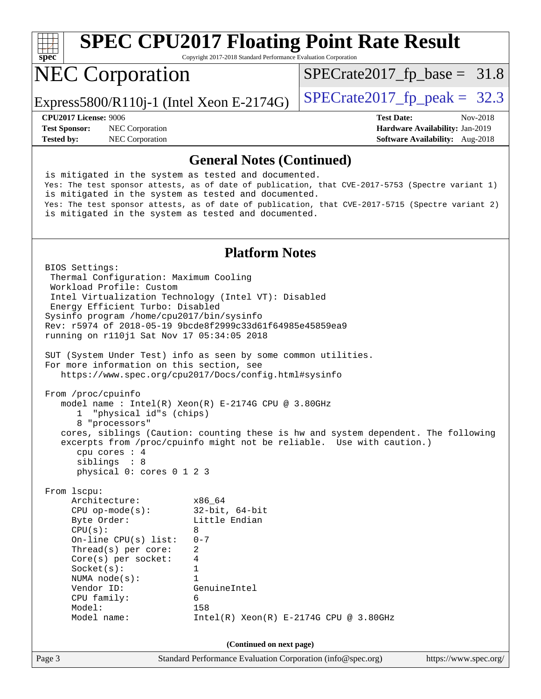

Copyright 2017-2018 Standard Performance Evaluation Corporation

## NEC Corporation

 $SPECTate2017_fp\_base = 31.8$ 

Express5800/R110j-1 (Intel Xeon E-2174G)  $\vert$  [SPECrate2017\\_fp\\_peak =](http://www.spec.org/auto/cpu2017/Docs/result-fields.html#SPECrate2017fppeak) 32.3

**[Test Sponsor:](http://www.spec.org/auto/cpu2017/Docs/result-fields.html#TestSponsor)** NEC Corporation **[Hardware Availability:](http://www.spec.org/auto/cpu2017/Docs/result-fields.html#HardwareAvailability)** Jan-2019

**[CPU2017 License:](http://www.spec.org/auto/cpu2017/Docs/result-fields.html#CPU2017License)** 9006 **[Test Date:](http://www.spec.org/auto/cpu2017/Docs/result-fields.html#TestDate)** Nov-2018 **[Tested by:](http://www.spec.org/auto/cpu2017/Docs/result-fields.html#Testedby)** NEC Corporation **[Software Availability:](http://www.spec.org/auto/cpu2017/Docs/result-fields.html#SoftwareAvailability)** Aug-2018

#### **[General Notes \(Continued\)](http://www.spec.org/auto/cpu2017/Docs/result-fields.html#GeneralNotes)**

 is mitigated in the system as tested and documented. Yes: The test sponsor attests, as of date of publication, that CVE-2017-5753 (Spectre variant 1) is mitigated in the system as tested and documented. Yes: The test sponsor attests, as of date of publication, that CVE-2017-5715 (Spectre variant 2) is mitigated in the system as tested and documented.

#### **[Platform Notes](http://www.spec.org/auto/cpu2017/Docs/result-fields.html#PlatformNotes)**

Page 3 Standard Performance Evaluation Corporation [\(info@spec.org\)](mailto:info@spec.org) <https://www.spec.org/> BIOS Settings: Thermal Configuration: Maximum Cooling Workload Profile: Custom Intel Virtualization Technology (Intel VT): Disabled Energy Efficient Turbo: Disabled Sysinfo program /home/cpu2017/bin/sysinfo Rev: r5974 of 2018-05-19 9bcde8f2999c33d61f64985e45859ea9 running on r110j1 Sat Nov 17 05:34:05 2018 SUT (System Under Test) info as seen by some common utilities. For more information on this section, see <https://www.spec.org/cpu2017/Docs/config.html#sysinfo> From /proc/cpuinfo model name : Intel(R) Xeon(R) E-2174G CPU @ 3.80GHz 1 "physical id"s (chips) 8 "processors" cores, siblings (Caution: counting these is hw and system dependent. The following excerpts from /proc/cpuinfo might not be reliable. Use with caution.) cpu cores : 4 siblings : 8 physical 0: cores 0 1 2 3 From lscpu: Architecture: x86\_64 CPU op-mode(s): 32-bit, 64-bit Byte Order: Little Endian  $CPU(s):$  8 On-line CPU(s) list: 0-7 Thread(s) per core: 2 Core(s) per socket: 4 Socket(s): 1 NUMA node(s): 1 Vendor ID: GenuineIntel CPU family: 6 Model: 158 Model name: Intel(R) Xeon(R) E-2174G CPU @ 3.80GHz **(Continued on next page)**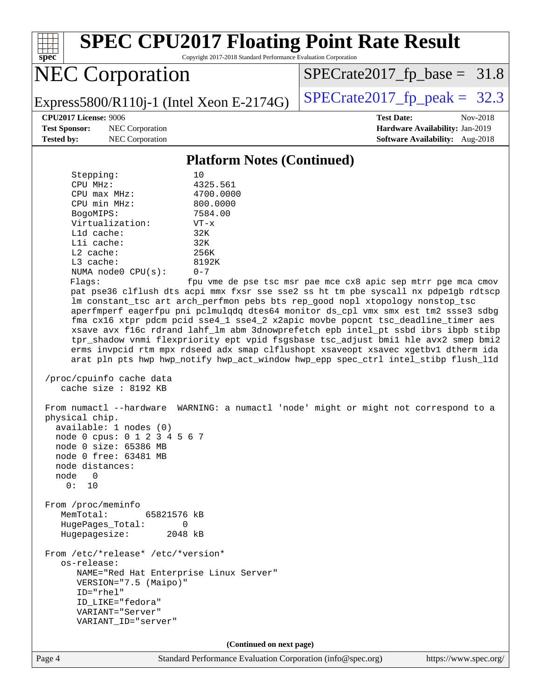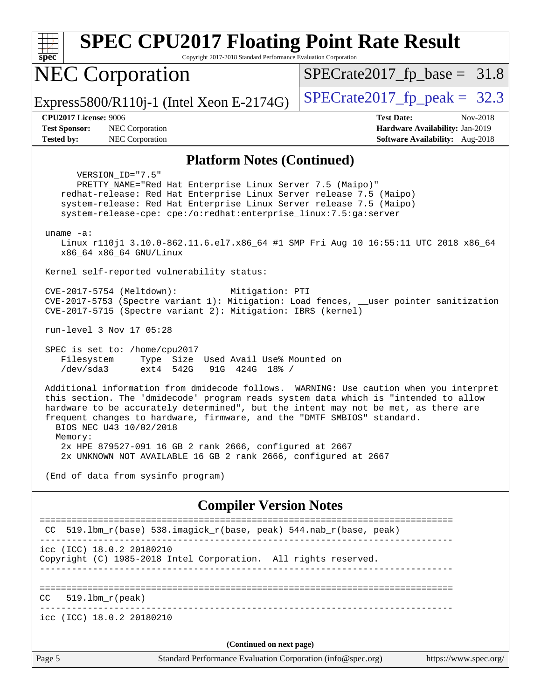| <b>SPEC CPU2017 Floating Point Rate Result</b><br>Copyright 2017-2018 Standard Performance Evaluation Corporation<br>spec <sup>®</sup>                                                                                                                                                                                                                                                                                                          |                                                                                                            |
|-------------------------------------------------------------------------------------------------------------------------------------------------------------------------------------------------------------------------------------------------------------------------------------------------------------------------------------------------------------------------------------------------------------------------------------------------|------------------------------------------------------------------------------------------------------------|
| <b>NEC Corporation</b>                                                                                                                                                                                                                                                                                                                                                                                                                          | $SPECrate2017_fp\_base = 31.8$                                                                             |
| Express5800/R110j-1 (Intel Xeon E-2174G)                                                                                                                                                                                                                                                                                                                                                                                                        | $SPECrate2017_fp\_peak = 32.3$                                                                             |
| <b>CPU2017 License: 9006</b><br>NEC Corporation<br><b>Test Sponsor:</b><br><b>NEC Corporation</b><br><b>Tested by:</b>                                                                                                                                                                                                                                                                                                                          | <b>Test Date:</b><br>Nov-2018<br>Hardware Availability: Jan-2019<br><b>Software Availability:</b> Aug-2018 |
| <b>Platform Notes (Continued)</b>                                                                                                                                                                                                                                                                                                                                                                                                               |                                                                                                            |
| VERSION_ID="7.5"<br>PRETTY_NAME="Red Hat Enterprise Linux Server 7.5 (Maipo)"<br>redhat-release: Red Hat Enterprise Linux Server release 7.5 (Maipo)<br>system-release: Red Hat Enterprise Linux Server release 7.5 (Maipo)<br>system-release-cpe: cpe:/o:redhat:enterprise_linux:7.5:ga:server<br>uname $-a$ :<br>Linux r110j1 3.10.0-862.11.6.el7.x86_64 #1 SMP Fri Aug 10 16:55:11 UTC 2018 x86_64                                           |                                                                                                            |
| x86 64 x86 64 GNU/Linux<br>Kernel self-reported vulnerability status:                                                                                                                                                                                                                                                                                                                                                                           |                                                                                                            |
| CVE-2017-5754 (Meltdown):<br>Mitigation: PTI<br>CVE-2017-5753 (Spectre variant 1): Mitigation: Load fences, __user pointer sanitization<br>CVE-2017-5715 (Spectre variant 2): Mitigation: IBRS (kernel)                                                                                                                                                                                                                                         |                                                                                                            |
| run-level 3 Nov 17 05:28                                                                                                                                                                                                                                                                                                                                                                                                                        |                                                                                                            |
| SPEC is set to: /home/cpu2017<br>Filesystem<br>Type Size Used Avail Use% Mounted on<br>/dev/sda3<br>ext4 542G<br>91G 424G 18% /                                                                                                                                                                                                                                                                                                                 |                                                                                                            |
| Additional information from dmidecode follows. WARNING: Use caution when you interpret<br>this section. The 'dmidecode' program reads system data which is "intended to allow<br>hardware to be accurately determined", but the intent may not be met, as there are<br>frequent changes to hardware, firmware, and the "DMTF SMBIOS" standard.<br>BIOS NEC U43 10/02/2018<br>Memory:<br>2x HPE 879527-091 16 GB 2 rank 2666, configured at 2667 |                                                                                                            |
| 2x UNKNOWN NOT AVAILABLE 16 GB 2 rank 2666, configured at 2667                                                                                                                                                                                                                                                                                                                                                                                  |                                                                                                            |
| (End of data from sysinfo program)                                                                                                                                                                                                                                                                                                                                                                                                              |                                                                                                            |
| <b>Compiler Version Notes</b>                                                                                                                                                                                                                                                                                                                                                                                                                   |                                                                                                            |
| 519.1bm_r(base) 538.imagick_r(base, peak) 544.nab_r(base, peak)<br>CC.                                                                                                                                                                                                                                                                                                                                                                          |                                                                                                            |
| icc (ICC) 18.0.2 20180210<br>Copyright (C) 1985-2018 Intel Corporation. All rights reserved.                                                                                                                                                                                                                                                                                                                                                    |                                                                                                            |
| $519.1bm_r(peak)$<br>CC                                                                                                                                                                                                                                                                                                                                                                                                                         |                                                                                                            |
| icc (ICC) 18.0.2 20180210                                                                                                                                                                                                                                                                                                                                                                                                                       |                                                                                                            |
| (Continued on next page)                                                                                                                                                                                                                                                                                                                                                                                                                        |                                                                                                            |
| Page 5<br>Standard Performance Evaluation Corporation (info@spec.org)                                                                                                                                                                                                                                                                                                                                                                           | https://www.spec.org/                                                                                      |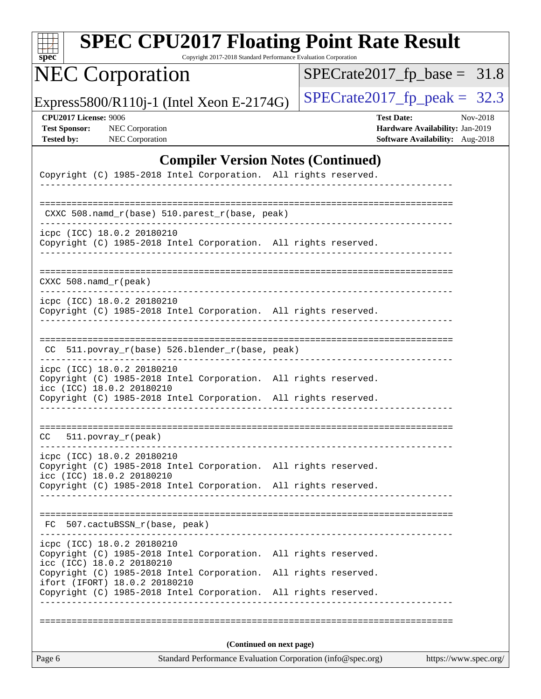| $spec^*$                                                                  | <b>SPEC CPU2017 Floating Point Rate Result</b>                                                                                                                                                | Copyright 2017-2018 Standard Performance Evaluation Corporation |  |                      |                                                                                         |                       |          |
|---------------------------------------------------------------------------|-----------------------------------------------------------------------------------------------------------------------------------------------------------------------------------------------|-----------------------------------------------------------------|--|----------------------|-----------------------------------------------------------------------------------------|-----------------------|----------|
|                                                                           | <b>NEC Corporation</b>                                                                                                                                                                        |                                                                 |  |                      | $SPECrate2017_fp\_base = 31.8$                                                          |                       |          |
|                                                                           | Express5800/R110j-1 (Intel Xeon E-2174G)                                                                                                                                                      |                                                                 |  |                      | $SPECrate2017_fp\_peak = 32.3$                                                          |                       |          |
| <b>CPU2017 License: 9006</b><br><b>Test Sponsor:</b><br><b>Tested by:</b> | <b>NEC</b> Corporation<br>NEC Corporation                                                                                                                                                     |                                                                 |  |                      | <b>Test Date:</b><br>Hardware Availability: Jan-2019<br>Software Availability: Aug-2018 |                       | Nov-2018 |
|                                                                           |                                                                                                                                                                                               | <b>Compiler Version Notes (Continued)</b>                       |  |                      |                                                                                         |                       |          |
|                                                                           | Copyright (C) 1985-2018 Intel Corporation. All rights reserved.                                                                                                                               |                                                                 |  |                      |                                                                                         |                       |          |
|                                                                           | CXXC 508.namd_r(base) 510.parest_r(base, peak)                                                                                                                                                |                                                                 |  |                      |                                                                                         |                       |          |
|                                                                           | icpc (ICC) 18.0.2 20180210<br>Copyright (C) 1985-2018 Intel Corporation. All rights reserved.                                                                                                 |                                                                 |  |                      |                                                                                         |                       |          |
| CXXC 508.namd_r(peak)                                                     |                                                                                                                                                                                               |                                                                 |  |                      |                                                                                         |                       |          |
|                                                                           | icpc (ICC) 18.0.2 20180210<br>Copyright (C) 1985-2018 Intel Corporation. All rights reserved.                                                                                                 |                                                                 |  |                      |                                                                                         |                       |          |
|                                                                           | CC 511.povray_r(base) 526.blender_r(base, peak)                                                                                                                                               |                                                                 |  |                      |                                                                                         |                       |          |
|                                                                           | icpc (ICC) 18.0.2 20180210<br>Copyright (C) 1985-2018 Intel Corporation. All rights reserved.<br>icc (ICC) 18.0.2 20180210<br>Copyright (C) 1985-2018 Intel Corporation. All rights reserved. |                                                                 |  |                      |                                                                                         |                       |          |
| CC.                                                                       | $511. povray_r (peak)$                                                                                                                                                                        |                                                                 |  |                      | ================================                                                        |                       |          |
|                                                                           | icpc (ICC) 18.0.2 20180210<br>Copyright (C) 1985-2018 Intel Corporation. All rights reserved.<br>icc (ICC) 18.0.2 20180210                                                                    |                                                                 |  |                      |                                                                                         |                       |          |
|                                                                           | Copyright (C) 1985-2018 Intel Corporation. All rights reserved.                                                                                                                               |                                                                 |  |                      |                                                                                         |                       |          |
|                                                                           | FC 507.cactuBSSN_r(base, peak)                                                                                                                                                                |                                                                 |  |                      |                                                                                         |                       |          |
|                                                                           | icpc (ICC) 18.0.2 20180210<br>Copyright (C) 1985-2018 Intel Corporation. All rights reserved.<br>icc (ICC) 18.0.2 20180210                                                                    |                                                                 |  |                      |                                                                                         |                       |          |
|                                                                           | Copyright (C) 1985-2018 Intel Corporation.<br>ifort (IFORT) 18.0.2 20180210<br>Copyright (C) 1985-2018 Intel Corporation. All rights reserved.                                                |                                                                 |  | All rights reserved. |                                                                                         |                       |          |
|                                                                           |                                                                                                                                                                                               |                                                                 |  |                      |                                                                                         |                       |          |
|                                                                           |                                                                                                                                                                                               | (Continued on next page)                                        |  |                      |                                                                                         |                       |          |
| Page 6                                                                    |                                                                                                                                                                                               | Standard Performance Evaluation Corporation (info@spec.org)     |  |                      |                                                                                         | https://www.spec.org/ |          |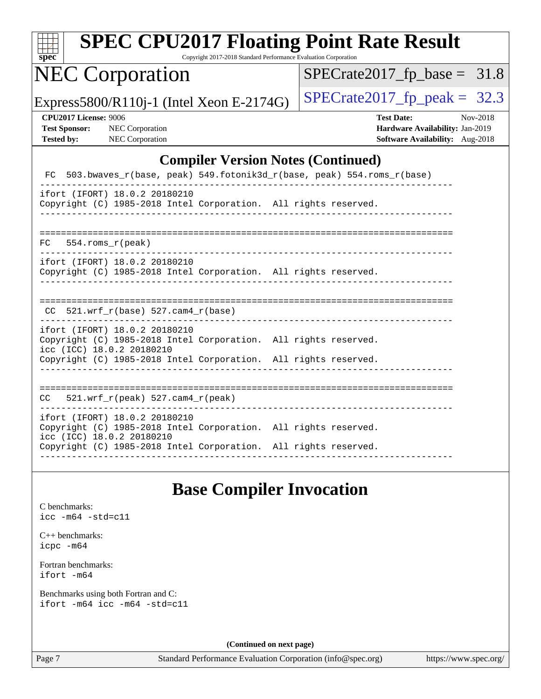| s | De | Ľ |  |
|---|----|---|--|

Copyright 2017-2018 Standard Performance Evaluation Corporation

## NEC Corporation

 $SPECrate2017_fp\_base = 31.8$ 

Express5800/R110j-1 (Intel Xeon E-2174G)  $\left|$  [SPECrate2017\\_fp\\_peak =](http://www.spec.org/auto/cpu2017/Docs/result-fields.html#SPECrate2017fppeak) 32.3

**[CPU2017 License:](http://www.spec.org/auto/cpu2017/Docs/result-fields.html#CPU2017License)** 9006 **[Test Date:](http://www.spec.org/auto/cpu2017/Docs/result-fields.html#TestDate)** Nov-2018 **[Test Sponsor:](http://www.spec.org/auto/cpu2017/Docs/result-fields.html#TestSponsor)** NEC Corporation **[Hardware Availability:](http://www.spec.org/auto/cpu2017/Docs/result-fields.html#HardwareAvailability)** Jan-2019 **[Tested by:](http://www.spec.org/auto/cpu2017/Docs/result-fields.html#Testedby)** NEC Corporation **[Software Availability:](http://www.spec.org/auto/cpu2017/Docs/result-fields.html#SoftwareAvailability)** Aug-2018

#### **[Compiler Version Notes \(Continued\)](http://www.spec.org/auto/cpu2017/Docs/result-fields.html#CompilerVersionNotes)**

|                                                            | FC 503.bwaves_r(base, peak) 549.fotonik3d_r(base, peak) 554.roms_r(base)                                                           |  |
|------------------------------------------------------------|------------------------------------------------------------------------------------------------------------------------------------|--|
| ifort (IFORT) 18.0.2 20180210                              | Copyright (C) 1985-2018 Intel Corporation. All rights reserved.                                                                    |  |
| $FC$ 554. roms $r$ (peak)                                  |                                                                                                                                    |  |
| ifort (IFORT) 18.0.2 20180210                              | Copyright (C) 1985-2018 Intel Corporation. All rights reserved.                                                                    |  |
| CC $521.$ wrf r(base) 527.cam4 r(base)                     |                                                                                                                                    |  |
| ifort (IFORT) 18.0.2 20180210<br>icc (ICC) 18.0.2 20180210 | Copyright (C) 1985-2018 Intel Corporation. All rights reserved.<br>Copyright (C) 1985-2018 Intel Corporation. All rights reserved. |  |
| $CC = 521$ .wrf $r(\text{peak})$ 527.cam4 $r(\text{peak})$ |                                                                                                                                    |  |
| ifort (IFORT) 18.0.2 20180210<br>icc (ICC) 18.0.2 20180210 | Copyright (C) 1985-2018 Intel Corporation. All rights reserved.<br>Copyright (C) 1985-2018 Intel Corporation. All rights reserved. |  |

#### **[Base Compiler Invocation](http://www.spec.org/auto/cpu2017/Docs/result-fields.html#BaseCompilerInvocation)**

[C benchmarks](http://www.spec.org/auto/cpu2017/Docs/result-fields.html#Cbenchmarks): [icc -m64 -std=c11](http://www.spec.org/cpu2017/results/res2018q4/cpu2017-20181210-10057.flags.html#user_CCbase_intel_icc_64bit_c11_33ee0cdaae7deeeab2a9725423ba97205ce30f63b9926c2519791662299b76a0318f32ddfffdc46587804de3178b4f9328c46fa7c2b0cd779d7a61945c91cd35)

[C++ benchmarks:](http://www.spec.org/auto/cpu2017/Docs/result-fields.html#CXXbenchmarks) [icpc -m64](http://www.spec.org/cpu2017/results/res2018q4/cpu2017-20181210-10057.flags.html#user_CXXbase_intel_icpc_64bit_4ecb2543ae3f1412ef961e0650ca070fec7b7afdcd6ed48761b84423119d1bf6bdf5cad15b44d48e7256388bc77273b966e5eb805aefd121eb22e9299b2ec9d9)

[Fortran benchmarks](http://www.spec.org/auto/cpu2017/Docs/result-fields.html#Fortranbenchmarks): [ifort -m64](http://www.spec.org/cpu2017/results/res2018q4/cpu2017-20181210-10057.flags.html#user_FCbase_intel_ifort_64bit_24f2bb282fbaeffd6157abe4f878425411749daecae9a33200eee2bee2fe76f3b89351d69a8130dd5949958ce389cf37ff59a95e7a40d588e8d3a57e0c3fd751)

[Benchmarks using both Fortran and C](http://www.spec.org/auto/cpu2017/Docs/result-fields.html#BenchmarksusingbothFortranandC): [ifort -m64](http://www.spec.org/cpu2017/results/res2018q4/cpu2017-20181210-10057.flags.html#user_CC_FCbase_intel_ifort_64bit_24f2bb282fbaeffd6157abe4f878425411749daecae9a33200eee2bee2fe76f3b89351d69a8130dd5949958ce389cf37ff59a95e7a40d588e8d3a57e0c3fd751) [icc -m64 -std=c11](http://www.spec.org/cpu2017/results/res2018q4/cpu2017-20181210-10057.flags.html#user_CC_FCbase_intel_icc_64bit_c11_33ee0cdaae7deeeab2a9725423ba97205ce30f63b9926c2519791662299b76a0318f32ddfffdc46587804de3178b4f9328c46fa7c2b0cd779d7a61945c91cd35)

**(Continued on next page)**

Page 7 Standard Performance Evaluation Corporation [\(info@spec.org\)](mailto:info@spec.org) <https://www.spec.org/>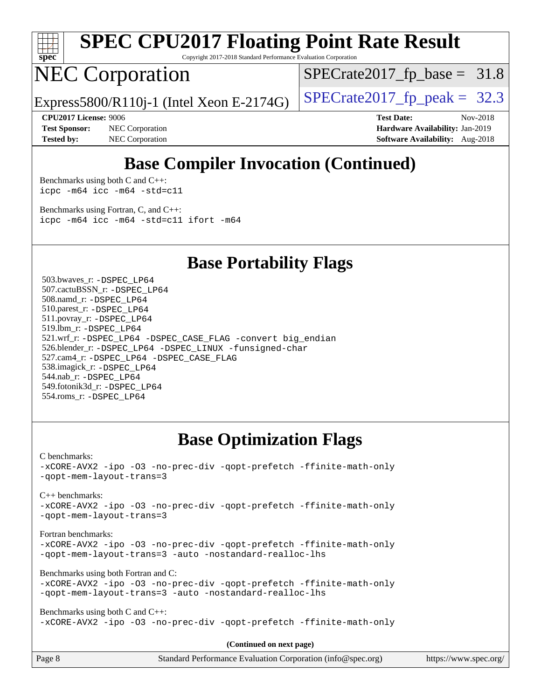

Copyright 2017-2018 Standard Performance Evaluation Corporation

## NEC Corporation

 $SPECTate2017_fp\_base = 31.8$ 

Express5800/R110j-1 (Intel Xeon E-2174G)  $\vert$  [SPECrate2017\\_fp\\_peak =](http://www.spec.org/auto/cpu2017/Docs/result-fields.html#SPECrate2017fppeak) 32.3

**[Test Sponsor:](http://www.spec.org/auto/cpu2017/Docs/result-fields.html#TestSponsor)** NEC Corporation **[Hardware Availability:](http://www.spec.org/auto/cpu2017/Docs/result-fields.html#HardwareAvailability)** Jan-2019 **[Tested by:](http://www.spec.org/auto/cpu2017/Docs/result-fields.html#Testedby)** NEC Corporation **[Software Availability:](http://www.spec.org/auto/cpu2017/Docs/result-fields.html#SoftwareAvailability)** Aug-2018

**[CPU2017 License:](http://www.spec.org/auto/cpu2017/Docs/result-fields.html#CPU2017License)** 9006 **[Test Date:](http://www.spec.org/auto/cpu2017/Docs/result-fields.html#TestDate)** Nov-2018

#### **[Base Compiler Invocation \(Continued\)](http://www.spec.org/auto/cpu2017/Docs/result-fields.html#BaseCompilerInvocation)**

[Benchmarks using both C and C++](http://www.spec.org/auto/cpu2017/Docs/result-fields.html#BenchmarksusingbothCandCXX): [icpc -m64](http://www.spec.org/cpu2017/results/res2018q4/cpu2017-20181210-10057.flags.html#user_CC_CXXbase_intel_icpc_64bit_4ecb2543ae3f1412ef961e0650ca070fec7b7afdcd6ed48761b84423119d1bf6bdf5cad15b44d48e7256388bc77273b966e5eb805aefd121eb22e9299b2ec9d9) [icc -m64 -std=c11](http://www.spec.org/cpu2017/results/res2018q4/cpu2017-20181210-10057.flags.html#user_CC_CXXbase_intel_icc_64bit_c11_33ee0cdaae7deeeab2a9725423ba97205ce30f63b9926c2519791662299b76a0318f32ddfffdc46587804de3178b4f9328c46fa7c2b0cd779d7a61945c91cd35)

[Benchmarks using Fortran, C, and C++:](http://www.spec.org/auto/cpu2017/Docs/result-fields.html#BenchmarksusingFortranCandCXX) [icpc -m64](http://www.spec.org/cpu2017/results/res2018q4/cpu2017-20181210-10057.flags.html#user_CC_CXX_FCbase_intel_icpc_64bit_4ecb2543ae3f1412ef961e0650ca070fec7b7afdcd6ed48761b84423119d1bf6bdf5cad15b44d48e7256388bc77273b966e5eb805aefd121eb22e9299b2ec9d9) [icc -m64 -std=c11](http://www.spec.org/cpu2017/results/res2018q4/cpu2017-20181210-10057.flags.html#user_CC_CXX_FCbase_intel_icc_64bit_c11_33ee0cdaae7deeeab2a9725423ba97205ce30f63b9926c2519791662299b76a0318f32ddfffdc46587804de3178b4f9328c46fa7c2b0cd779d7a61945c91cd35) [ifort -m64](http://www.spec.org/cpu2017/results/res2018q4/cpu2017-20181210-10057.flags.html#user_CC_CXX_FCbase_intel_ifort_64bit_24f2bb282fbaeffd6157abe4f878425411749daecae9a33200eee2bee2fe76f3b89351d69a8130dd5949958ce389cf37ff59a95e7a40d588e8d3a57e0c3fd751)

**[Base Portability Flags](http://www.spec.org/auto/cpu2017/Docs/result-fields.html#BasePortabilityFlags)**

 503.bwaves\_r: [-DSPEC\\_LP64](http://www.spec.org/cpu2017/results/res2018q4/cpu2017-20181210-10057.flags.html#suite_basePORTABILITY503_bwaves_r_DSPEC_LP64) 507.cactuBSSN\_r: [-DSPEC\\_LP64](http://www.spec.org/cpu2017/results/res2018q4/cpu2017-20181210-10057.flags.html#suite_basePORTABILITY507_cactuBSSN_r_DSPEC_LP64) 508.namd\_r: [-DSPEC\\_LP64](http://www.spec.org/cpu2017/results/res2018q4/cpu2017-20181210-10057.flags.html#suite_basePORTABILITY508_namd_r_DSPEC_LP64) 510.parest\_r: [-DSPEC\\_LP64](http://www.spec.org/cpu2017/results/res2018q4/cpu2017-20181210-10057.flags.html#suite_basePORTABILITY510_parest_r_DSPEC_LP64) 511.povray\_r: [-DSPEC\\_LP64](http://www.spec.org/cpu2017/results/res2018q4/cpu2017-20181210-10057.flags.html#suite_basePORTABILITY511_povray_r_DSPEC_LP64) 519.lbm\_r: [-DSPEC\\_LP64](http://www.spec.org/cpu2017/results/res2018q4/cpu2017-20181210-10057.flags.html#suite_basePORTABILITY519_lbm_r_DSPEC_LP64) 521.wrf\_r: [-DSPEC\\_LP64](http://www.spec.org/cpu2017/results/res2018q4/cpu2017-20181210-10057.flags.html#suite_basePORTABILITY521_wrf_r_DSPEC_LP64) [-DSPEC\\_CASE\\_FLAG](http://www.spec.org/cpu2017/results/res2018q4/cpu2017-20181210-10057.flags.html#b521.wrf_r_baseCPORTABILITY_DSPEC_CASE_FLAG) [-convert big\\_endian](http://www.spec.org/cpu2017/results/res2018q4/cpu2017-20181210-10057.flags.html#user_baseFPORTABILITY521_wrf_r_convert_big_endian_c3194028bc08c63ac5d04de18c48ce6d347e4e562e8892b8bdbdc0214820426deb8554edfa529a3fb25a586e65a3d812c835984020483e7e73212c4d31a38223) 526.blender\_r: [-DSPEC\\_LP64](http://www.spec.org/cpu2017/results/res2018q4/cpu2017-20181210-10057.flags.html#suite_basePORTABILITY526_blender_r_DSPEC_LP64) [-DSPEC\\_LINUX](http://www.spec.org/cpu2017/results/res2018q4/cpu2017-20181210-10057.flags.html#b526.blender_r_baseCPORTABILITY_DSPEC_LINUX) [-funsigned-char](http://www.spec.org/cpu2017/results/res2018q4/cpu2017-20181210-10057.flags.html#user_baseCPORTABILITY526_blender_r_force_uchar_40c60f00ab013830e2dd6774aeded3ff59883ba5a1fc5fc14077f794d777847726e2a5858cbc7672e36e1b067e7e5c1d9a74f7176df07886a243d7cc18edfe67) 527.cam4\_r: [-DSPEC\\_LP64](http://www.spec.org/cpu2017/results/res2018q4/cpu2017-20181210-10057.flags.html#suite_basePORTABILITY527_cam4_r_DSPEC_LP64) [-DSPEC\\_CASE\\_FLAG](http://www.spec.org/cpu2017/results/res2018q4/cpu2017-20181210-10057.flags.html#b527.cam4_r_baseCPORTABILITY_DSPEC_CASE_FLAG) 538.imagick\_r: [-DSPEC\\_LP64](http://www.spec.org/cpu2017/results/res2018q4/cpu2017-20181210-10057.flags.html#suite_basePORTABILITY538_imagick_r_DSPEC_LP64) 544.nab\_r: [-DSPEC\\_LP64](http://www.spec.org/cpu2017/results/res2018q4/cpu2017-20181210-10057.flags.html#suite_basePORTABILITY544_nab_r_DSPEC_LP64) 549.fotonik3d\_r: [-DSPEC\\_LP64](http://www.spec.org/cpu2017/results/res2018q4/cpu2017-20181210-10057.flags.html#suite_basePORTABILITY549_fotonik3d_r_DSPEC_LP64) 554.roms\_r: [-DSPEC\\_LP64](http://www.spec.org/cpu2017/results/res2018q4/cpu2017-20181210-10057.flags.html#suite_basePORTABILITY554_roms_r_DSPEC_LP64)

#### **[Base Optimization Flags](http://www.spec.org/auto/cpu2017/Docs/result-fields.html#BaseOptimizationFlags)**

[C benchmarks](http://www.spec.org/auto/cpu2017/Docs/result-fields.html#Cbenchmarks):

[-xCORE-AVX2](http://www.spec.org/cpu2017/results/res2018q4/cpu2017-20181210-10057.flags.html#user_CCbase_f-xCORE-AVX2) [-ipo](http://www.spec.org/cpu2017/results/res2018q4/cpu2017-20181210-10057.flags.html#user_CCbase_f-ipo) [-O3](http://www.spec.org/cpu2017/results/res2018q4/cpu2017-20181210-10057.flags.html#user_CCbase_f-O3) [-no-prec-div](http://www.spec.org/cpu2017/results/res2018q4/cpu2017-20181210-10057.flags.html#user_CCbase_f-no-prec-div) [-qopt-prefetch](http://www.spec.org/cpu2017/results/res2018q4/cpu2017-20181210-10057.flags.html#user_CCbase_f-qopt-prefetch) [-ffinite-math-only](http://www.spec.org/cpu2017/results/res2018q4/cpu2017-20181210-10057.flags.html#user_CCbase_f_finite_math_only_cb91587bd2077682c4b38af759c288ed7c732db004271a9512da14a4f8007909a5f1427ecbf1a0fb78ff2a814402c6114ac565ca162485bbcae155b5e4258871) [-qopt-mem-layout-trans=3](http://www.spec.org/cpu2017/results/res2018q4/cpu2017-20181210-10057.flags.html#user_CCbase_f-qopt-mem-layout-trans_de80db37974c74b1f0e20d883f0b675c88c3b01e9d123adea9b28688d64333345fb62bc4a798493513fdb68f60282f9a726aa07f478b2f7113531aecce732043)

[C++ benchmarks:](http://www.spec.org/auto/cpu2017/Docs/result-fields.html#CXXbenchmarks)

[-xCORE-AVX2](http://www.spec.org/cpu2017/results/res2018q4/cpu2017-20181210-10057.flags.html#user_CXXbase_f-xCORE-AVX2) [-ipo](http://www.spec.org/cpu2017/results/res2018q4/cpu2017-20181210-10057.flags.html#user_CXXbase_f-ipo) [-O3](http://www.spec.org/cpu2017/results/res2018q4/cpu2017-20181210-10057.flags.html#user_CXXbase_f-O3) [-no-prec-div](http://www.spec.org/cpu2017/results/res2018q4/cpu2017-20181210-10057.flags.html#user_CXXbase_f-no-prec-div) [-qopt-prefetch](http://www.spec.org/cpu2017/results/res2018q4/cpu2017-20181210-10057.flags.html#user_CXXbase_f-qopt-prefetch) [-ffinite-math-only](http://www.spec.org/cpu2017/results/res2018q4/cpu2017-20181210-10057.flags.html#user_CXXbase_f_finite_math_only_cb91587bd2077682c4b38af759c288ed7c732db004271a9512da14a4f8007909a5f1427ecbf1a0fb78ff2a814402c6114ac565ca162485bbcae155b5e4258871) [-qopt-mem-layout-trans=3](http://www.spec.org/cpu2017/results/res2018q4/cpu2017-20181210-10057.flags.html#user_CXXbase_f-qopt-mem-layout-trans_de80db37974c74b1f0e20d883f0b675c88c3b01e9d123adea9b28688d64333345fb62bc4a798493513fdb68f60282f9a726aa07f478b2f7113531aecce732043)

[Fortran benchmarks](http://www.spec.org/auto/cpu2017/Docs/result-fields.html#Fortranbenchmarks):

[-xCORE-AVX2](http://www.spec.org/cpu2017/results/res2018q4/cpu2017-20181210-10057.flags.html#user_FCbase_f-xCORE-AVX2) [-ipo](http://www.spec.org/cpu2017/results/res2018q4/cpu2017-20181210-10057.flags.html#user_FCbase_f-ipo) [-O3](http://www.spec.org/cpu2017/results/res2018q4/cpu2017-20181210-10057.flags.html#user_FCbase_f-O3) [-no-prec-div](http://www.spec.org/cpu2017/results/res2018q4/cpu2017-20181210-10057.flags.html#user_FCbase_f-no-prec-div) [-qopt-prefetch](http://www.spec.org/cpu2017/results/res2018q4/cpu2017-20181210-10057.flags.html#user_FCbase_f-qopt-prefetch) [-ffinite-math-only](http://www.spec.org/cpu2017/results/res2018q4/cpu2017-20181210-10057.flags.html#user_FCbase_f_finite_math_only_cb91587bd2077682c4b38af759c288ed7c732db004271a9512da14a4f8007909a5f1427ecbf1a0fb78ff2a814402c6114ac565ca162485bbcae155b5e4258871) [-qopt-mem-layout-trans=3](http://www.spec.org/cpu2017/results/res2018q4/cpu2017-20181210-10057.flags.html#user_FCbase_f-qopt-mem-layout-trans_de80db37974c74b1f0e20d883f0b675c88c3b01e9d123adea9b28688d64333345fb62bc4a798493513fdb68f60282f9a726aa07f478b2f7113531aecce732043) [-auto](http://www.spec.org/cpu2017/results/res2018q4/cpu2017-20181210-10057.flags.html#user_FCbase_f-auto) [-nostandard-realloc-lhs](http://www.spec.org/cpu2017/results/res2018q4/cpu2017-20181210-10057.flags.html#user_FCbase_f_2003_std_realloc_82b4557e90729c0f113870c07e44d33d6f5a304b4f63d4c15d2d0f1fab99f5daaed73bdb9275d9ae411527f28b936061aa8b9c8f2d63842963b95c9dd6426b8a)

[Benchmarks using both Fortran and C](http://www.spec.org/auto/cpu2017/Docs/result-fields.html#BenchmarksusingbothFortranandC):

```
-xCORE-AVX2 -ipo -O3 -no-prec-div -qopt-prefetch -ffinite-math-only
-qopt-mem-layout-trans=3 -auto -nostandard-realloc-lhs
```
[Benchmarks using both C and C++](http://www.spec.org/auto/cpu2017/Docs/result-fields.html#BenchmarksusingbothCandCXX): [-xCORE-AVX2](http://www.spec.org/cpu2017/results/res2018q4/cpu2017-20181210-10057.flags.html#user_CC_CXXbase_f-xCORE-AVX2) [-ipo](http://www.spec.org/cpu2017/results/res2018q4/cpu2017-20181210-10057.flags.html#user_CC_CXXbase_f-ipo) [-O3](http://www.spec.org/cpu2017/results/res2018q4/cpu2017-20181210-10057.flags.html#user_CC_CXXbase_f-O3) [-no-prec-div](http://www.spec.org/cpu2017/results/res2018q4/cpu2017-20181210-10057.flags.html#user_CC_CXXbase_f-no-prec-div) [-qopt-prefetch](http://www.spec.org/cpu2017/results/res2018q4/cpu2017-20181210-10057.flags.html#user_CC_CXXbase_f-qopt-prefetch) [-ffinite-math-only](http://www.spec.org/cpu2017/results/res2018q4/cpu2017-20181210-10057.flags.html#user_CC_CXXbase_f_finite_math_only_cb91587bd2077682c4b38af759c288ed7c732db004271a9512da14a4f8007909a5f1427ecbf1a0fb78ff2a814402c6114ac565ca162485bbcae155b5e4258871)

**(Continued on next page)**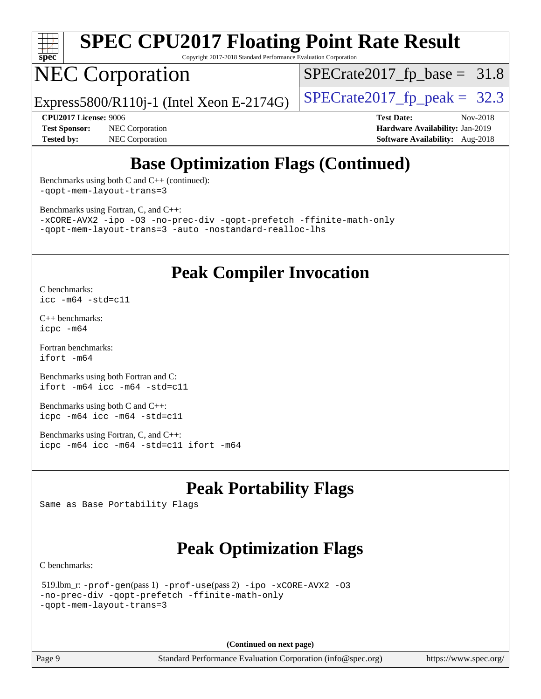

Copyright 2017-2018 Standard Performance Evaluation Corporation

# NEC Corporation

 $SPECTate2017_fp\_base = 31.8$ 

Express5800/R110j-1 (Intel Xeon E-2174G)  $\vert$  [SPECrate2017\\_fp\\_peak =](http://www.spec.org/auto/cpu2017/Docs/result-fields.html#SPECrate2017fppeak) 32.3

**[Test Sponsor:](http://www.spec.org/auto/cpu2017/Docs/result-fields.html#TestSponsor)** NEC Corporation **[Hardware Availability:](http://www.spec.org/auto/cpu2017/Docs/result-fields.html#HardwareAvailability)** Jan-2019 **[Tested by:](http://www.spec.org/auto/cpu2017/Docs/result-fields.html#Testedby)** NEC Corporation **[Software Availability:](http://www.spec.org/auto/cpu2017/Docs/result-fields.html#SoftwareAvailability)** Aug-2018

**[CPU2017 License:](http://www.spec.org/auto/cpu2017/Docs/result-fields.html#CPU2017License)** 9006 **[Test Date:](http://www.spec.org/auto/cpu2017/Docs/result-fields.html#TestDate)** Nov-2018

## **[Base Optimization Flags \(Continued\)](http://www.spec.org/auto/cpu2017/Docs/result-fields.html#BaseOptimizationFlags)**

[Benchmarks using both C and C++](http://www.spec.org/auto/cpu2017/Docs/result-fields.html#BenchmarksusingbothCandCXX) (continued): [-qopt-mem-layout-trans=3](http://www.spec.org/cpu2017/results/res2018q4/cpu2017-20181210-10057.flags.html#user_CC_CXXbase_f-qopt-mem-layout-trans_de80db37974c74b1f0e20d883f0b675c88c3b01e9d123adea9b28688d64333345fb62bc4a798493513fdb68f60282f9a726aa07f478b2f7113531aecce732043)

[Benchmarks using Fortran, C, and C++:](http://www.spec.org/auto/cpu2017/Docs/result-fields.html#BenchmarksusingFortranCandCXX)

[-xCORE-AVX2](http://www.spec.org/cpu2017/results/res2018q4/cpu2017-20181210-10057.flags.html#user_CC_CXX_FCbase_f-xCORE-AVX2) [-ipo](http://www.spec.org/cpu2017/results/res2018q4/cpu2017-20181210-10057.flags.html#user_CC_CXX_FCbase_f-ipo) [-O3](http://www.spec.org/cpu2017/results/res2018q4/cpu2017-20181210-10057.flags.html#user_CC_CXX_FCbase_f-O3) [-no-prec-div](http://www.spec.org/cpu2017/results/res2018q4/cpu2017-20181210-10057.flags.html#user_CC_CXX_FCbase_f-no-prec-div) [-qopt-prefetch](http://www.spec.org/cpu2017/results/res2018q4/cpu2017-20181210-10057.flags.html#user_CC_CXX_FCbase_f-qopt-prefetch) [-ffinite-math-only](http://www.spec.org/cpu2017/results/res2018q4/cpu2017-20181210-10057.flags.html#user_CC_CXX_FCbase_f_finite_math_only_cb91587bd2077682c4b38af759c288ed7c732db004271a9512da14a4f8007909a5f1427ecbf1a0fb78ff2a814402c6114ac565ca162485bbcae155b5e4258871) [-qopt-mem-layout-trans=3](http://www.spec.org/cpu2017/results/res2018q4/cpu2017-20181210-10057.flags.html#user_CC_CXX_FCbase_f-qopt-mem-layout-trans_de80db37974c74b1f0e20d883f0b675c88c3b01e9d123adea9b28688d64333345fb62bc4a798493513fdb68f60282f9a726aa07f478b2f7113531aecce732043) [-auto](http://www.spec.org/cpu2017/results/res2018q4/cpu2017-20181210-10057.flags.html#user_CC_CXX_FCbase_f-auto) [-nostandard-realloc-lhs](http://www.spec.org/cpu2017/results/res2018q4/cpu2017-20181210-10057.flags.html#user_CC_CXX_FCbase_f_2003_std_realloc_82b4557e90729c0f113870c07e44d33d6f5a304b4f63d4c15d2d0f1fab99f5daaed73bdb9275d9ae411527f28b936061aa8b9c8f2d63842963b95c9dd6426b8a)

#### **[Peak Compiler Invocation](http://www.spec.org/auto/cpu2017/Docs/result-fields.html#PeakCompilerInvocation)**

[C benchmarks](http://www.spec.org/auto/cpu2017/Docs/result-fields.html#Cbenchmarks): [icc -m64 -std=c11](http://www.spec.org/cpu2017/results/res2018q4/cpu2017-20181210-10057.flags.html#user_CCpeak_intel_icc_64bit_c11_33ee0cdaae7deeeab2a9725423ba97205ce30f63b9926c2519791662299b76a0318f32ddfffdc46587804de3178b4f9328c46fa7c2b0cd779d7a61945c91cd35)

[C++ benchmarks:](http://www.spec.org/auto/cpu2017/Docs/result-fields.html#CXXbenchmarks) [icpc -m64](http://www.spec.org/cpu2017/results/res2018q4/cpu2017-20181210-10057.flags.html#user_CXXpeak_intel_icpc_64bit_4ecb2543ae3f1412ef961e0650ca070fec7b7afdcd6ed48761b84423119d1bf6bdf5cad15b44d48e7256388bc77273b966e5eb805aefd121eb22e9299b2ec9d9)

[Fortran benchmarks](http://www.spec.org/auto/cpu2017/Docs/result-fields.html#Fortranbenchmarks): [ifort -m64](http://www.spec.org/cpu2017/results/res2018q4/cpu2017-20181210-10057.flags.html#user_FCpeak_intel_ifort_64bit_24f2bb282fbaeffd6157abe4f878425411749daecae9a33200eee2bee2fe76f3b89351d69a8130dd5949958ce389cf37ff59a95e7a40d588e8d3a57e0c3fd751)

[Benchmarks using both Fortran and C](http://www.spec.org/auto/cpu2017/Docs/result-fields.html#BenchmarksusingbothFortranandC): [ifort -m64](http://www.spec.org/cpu2017/results/res2018q4/cpu2017-20181210-10057.flags.html#user_CC_FCpeak_intel_ifort_64bit_24f2bb282fbaeffd6157abe4f878425411749daecae9a33200eee2bee2fe76f3b89351d69a8130dd5949958ce389cf37ff59a95e7a40d588e8d3a57e0c3fd751) [icc -m64 -std=c11](http://www.spec.org/cpu2017/results/res2018q4/cpu2017-20181210-10057.flags.html#user_CC_FCpeak_intel_icc_64bit_c11_33ee0cdaae7deeeab2a9725423ba97205ce30f63b9926c2519791662299b76a0318f32ddfffdc46587804de3178b4f9328c46fa7c2b0cd779d7a61945c91cd35)

[Benchmarks using both C and C++](http://www.spec.org/auto/cpu2017/Docs/result-fields.html#BenchmarksusingbothCandCXX): [icpc -m64](http://www.spec.org/cpu2017/results/res2018q4/cpu2017-20181210-10057.flags.html#user_CC_CXXpeak_intel_icpc_64bit_4ecb2543ae3f1412ef961e0650ca070fec7b7afdcd6ed48761b84423119d1bf6bdf5cad15b44d48e7256388bc77273b966e5eb805aefd121eb22e9299b2ec9d9) [icc -m64 -std=c11](http://www.spec.org/cpu2017/results/res2018q4/cpu2017-20181210-10057.flags.html#user_CC_CXXpeak_intel_icc_64bit_c11_33ee0cdaae7deeeab2a9725423ba97205ce30f63b9926c2519791662299b76a0318f32ddfffdc46587804de3178b4f9328c46fa7c2b0cd779d7a61945c91cd35)

[Benchmarks using Fortran, C, and C++:](http://www.spec.org/auto/cpu2017/Docs/result-fields.html#BenchmarksusingFortranCandCXX) [icpc -m64](http://www.spec.org/cpu2017/results/res2018q4/cpu2017-20181210-10057.flags.html#user_CC_CXX_FCpeak_intel_icpc_64bit_4ecb2543ae3f1412ef961e0650ca070fec7b7afdcd6ed48761b84423119d1bf6bdf5cad15b44d48e7256388bc77273b966e5eb805aefd121eb22e9299b2ec9d9) [icc -m64 -std=c11](http://www.spec.org/cpu2017/results/res2018q4/cpu2017-20181210-10057.flags.html#user_CC_CXX_FCpeak_intel_icc_64bit_c11_33ee0cdaae7deeeab2a9725423ba97205ce30f63b9926c2519791662299b76a0318f32ddfffdc46587804de3178b4f9328c46fa7c2b0cd779d7a61945c91cd35) [ifort -m64](http://www.spec.org/cpu2017/results/res2018q4/cpu2017-20181210-10057.flags.html#user_CC_CXX_FCpeak_intel_ifort_64bit_24f2bb282fbaeffd6157abe4f878425411749daecae9a33200eee2bee2fe76f3b89351d69a8130dd5949958ce389cf37ff59a95e7a40d588e8d3a57e0c3fd751)

## **[Peak Portability Flags](http://www.spec.org/auto/cpu2017/Docs/result-fields.html#PeakPortabilityFlags)**

Same as Base Portability Flags

## **[Peak Optimization Flags](http://www.spec.org/auto/cpu2017/Docs/result-fields.html#PeakOptimizationFlags)**

[C benchmarks](http://www.spec.org/auto/cpu2017/Docs/result-fields.html#Cbenchmarks):

```
 519.lbm_r: -prof-gen(pass 1) -prof-use(pass 2) -ipo -xCORE-AVX2 -O3
-no-prec-div -qopt-prefetch -ffinite-math-only
-qopt-mem-layout-trans=3
```
**(Continued on next page)**

Page 9 Standard Performance Evaluation Corporation [\(info@spec.org\)](mailto:info@spec.org) <https://www.spec.org/>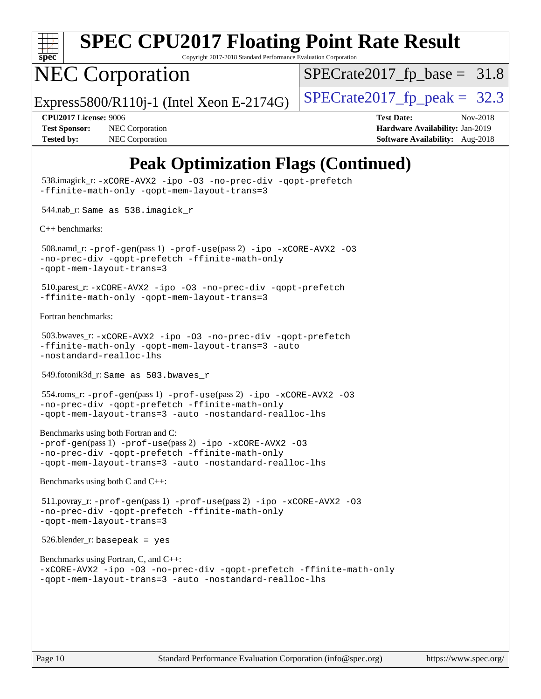

Copyright 2017-2018 Standard Performance Evaluation Corporation

## NEC Corporation

 $SPECTate2017_fp\_base = 31.8$ 

Express5800/R110j-1 (Intel Xeon E-2174G)  $\vert$  [SPECrate2017\\_fp\\_peak =](http://www.spec.org/auto/cpu2017/Docs/result-fields.html#SPECrate2017fppeak) 32.3

**[Test Sponsor:](http://www.spec.org/auto/cpu2017/Docs/result-fields.html#TestSponsor)** NEC Corporation **[Hardware Availability:](http://www.spec.org/auto/cpu2017/Docs/result-fields.html#HardwareAvailability)** Jan-2019 **[Tested by:](http://www.spec.org/auto/cpu2017/Docs/result-fields.html#Testedby)** NEC Corporation **[Software Availability:](http://www.spec.org/auto/cpu2017/Docs/result-fields.html#SoftwareAvailability)** Aug-2018

**[CPU2017 License:](http://www.spec.org/auto/cpu2017/Docs/result-fields.html#CPU2017License)** 9006 **[Test Date:](http://www.spec.org/auto/cpu2017/Docs/result-fields.html#TestDate)** Nov-2018

## **[Peak Optimization Flags \(Continued\)](http://www.spec.org/auto/cpu2017/Docs/result-fields.html#PeakOptimizationFlags)**

```
 538.imagick_r: -xCORE-AVX2 -ipo -O3 -no-prec-div -qopt-prefetch
-ffinite-math-only -qopt-mem-layout-trans=3
 544.nab_r: Same as 538.imagick_r
C++ benchmarks: 
 508.namd_r: -prof-gen(pass 1) -prof-use(pass 2) -ipo -xCORE-AVX2 -O3
-no-prec-div -qopt-prefetch -ffinite-math-only
-qopt-mem-layout-trans=3
 510.parest_r: -xCORE-AVX2 -ipo -O3 -no-prec-div -qopt-prefetch
-ffinite-math-only -qopt-mem-layout-trans=3
Fortran benchmarks: 
 503.bwaves_r: -xCORE-AVX2 -ipo -O3 -no-prec-div -qopt-prefetch
-ffinite-math-only -qopt-mem-layout-trans=3 -auto
-nostandard-realloc-lhs
 549.fotonik3d_r: Same as 503.bwaves_r
 554.roms_r: -prof-gen(pass 1) -prof-use(pass 2) -ipo -xCORE-AVX2 -O3
-no-prec-div -qopt-prefetch -ffinite-math-only
-qopt-mem-layout-trans=3 -auto -nostandard-realloc-lhs
Benchmarks using both Fortran and C: 
-prof-gen(pass 1) -prof-use(pass 2) -ipo -xCORE-AVX2 -O3
-no-prec-div -qopt-prefetch -ffinite-math-only
-qopt-mem-layout-trans=3 -auto -nostandard-realloc-lhs
Benchmarks using both C and C++: 
 511.povray_r: -prof-gen(pass 1) -prof-use(pass 2) -ipo -xCORE-AVX2 -O3
-no-prec-div -qopt-prefetch -ffinite-math-only
-qopt-mem-layout-trans=3
 526.blender_r: basepeak = yes
Benchmarks using Fortran, C, and C++: 
-xCORE-AVX2 -ipo -O3 -no-prec-div -qopt-prefetch -ffinite-math-only
-qopt-mem-layout-trans=3 -auto -nostandard-realloc-lhs
```